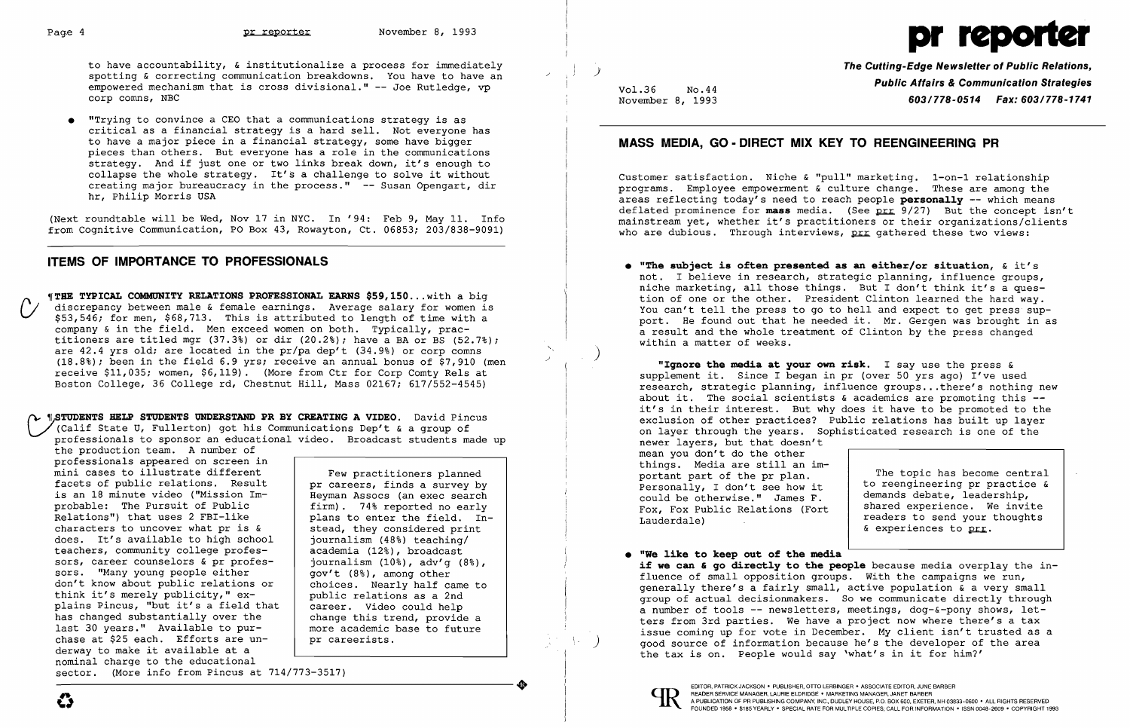to have accountability, & institutionalize a process for immediately spotting & correcting communication breakdowns. You have to have an / empowered mechanism that is cross divisional." -- Joe Rutledge, vp corp comns, NBC

• IITrying to convince a CEO that a communications strategy is as critical as a financial strategy is a hard sell. Not everyone has to have a major piece in a financial strategy, some have bigger pieces than others. But everyone has a role in the communications strategy. And if just one or two links break down, it's enough to strategy. And if just one of two finks break down, it s enough to<br>collapse the whole strategy. It's a challenge to solve it without creating major bureaucracy in the process." -- Susan Opengart, dir hr, Philip Morris USA

**THE TYPICAL COMMUNITY RELATIONS PROFESSIONAL EARNS \$59,150...with a big** discrepancy between male & female earnings. Average salary for women is \$53,546; for men, \$68,713. This is attributed to length of time with a company & in the field. Men exceed women on both. Typically, practitioners are titled mgr  $(37.3)$  or dir  $(20.2)$ ; have a BA or BS  $(52.7)$ ; are  $42.4$  yrs old; are located in the  $pr/pa$  dep't  $(34.9%)$  or corp comns  $(18.8%)$ ; been in the field 6.9 yrs; receive an annual bonus of \$7,910 (men receive \$11,035; women, \$6,119). (More from Ctr for Corp Comty Rels at Boston College, 36 College rd, Chestnut Hill, Mass 02167; 617/552-4545)

(Next roundtable will be Wed, Nov 17 in NYC. In '94: Feb 9, May 11. Info from Cognitive Communication, PO Box 43, Rowayton, Ct. 06853; 203/838-9091)

# **ITEMS OF IMPORTANCE TO PROFESSIONALS**

Customer satisfaction. Niche & "pull" marketing. 1-on-1 relationship programs. Employee empowerment & culture change. These are among the areas reflecting today's need to reach people **persona11y** -- which means deflated prominence for  $\text{mass}$  media. (See  $\frac{1}{2}$  /27) But the concept isn't mainstream yet, whether it's practitioners or their organizations/clients who are dubious. Through interviews, prr gathered these two views:

 ~STUDENTS **HELP STUDENTS UNDERSTAND PR BY CREATING A VIDEO.** David Pincus (Calif State U, Fullerton) got his Communications Dep't & a group of professionals to sponsor an educational video. Broadcast students made up

**"Iqnore the media at your own risk.** I say use the press & supplement it. Since I began in pr (over 50 yrs ago) I've used research, strategic planning, influence groups ...there's nothing new about it. The social scientists  $\epsilon$  academics are promoting this  $-$ it's in their interest. But why does it have to be promoted to the exclusion of other practices? Public relations has built up layer on layer through the years. Sophisticated research is one of the newer layers, but that doesn't mean you don't do the other things. Media are still an important part of the pr plan. Personally, I don't see how it could be otherwise." James F. Fox, Fox Public Relations (Fort Lauderdale) The topic has become central to reengineering pr practice & demands debate, leadership, shared experience. We invite readers to send your thoughts & experiences to prr.

generally there's a fairly small, active population & a very small group of actual decisionmakers. So we communicate directly through a number of tools -- newsletters, meetings, dog- $\&$ -pony shows, letters from 3rd parties. We have a project now where there's a tax issue coming up for vote in December. My client isn't trusted as a good source of information because he's the developer of the area

<sup>J</sup>**The Cutting-Edge Newsletter of Public Relations,**  Vol.36 No.44 **Public Affairs & Communication Strategies**  November 8, 1993 *603/778-0514 Fax: 603/778-1741* 

## **MASS MEDIA, GO· DIRECT MIX KEY TO REENGINEERING PR**

the production team. A number of professionals appeared on screen in mini cases to illustrate different facets of public relations. Result is an 18 minute video ("Mission Im-<br>
probable: The Pursuit of Public  $\begin{array}{|l|} \hline \text{Heyman} \text{ Associates (an exec search} \\ \hline \text{firm).} \text{ 74% reported no early} \end{array}$ probable: The Pursuit of Public Relations") that uses 2 FBI-like  $|$  plans to enter the field. Incharacters to uncover what pr is  $\kappa$ does. It's available to high school teachers, community college profes sors, career counselors & pr professors. "Many young people either don't know about public relations or think it's merely publicity,"  $ex$ plains Pincus, "but it's a field that has changed substantially over the last 30 years." Available to pur chase at \$25 each. Efforts are un derway to make it available at a nominal charge to the educational ----------------------+ EDITOR, PATRICK JACKSON • PUBLISHER, OTTO LERBINGER • ASSOCIATE EDITOR, JUNE BARBER

Few practitioners planned pr careers, finds a survey by stead, they considered print journalism (48%) teaching/ academia (12%), broadcast journalism (10%), adv'g (8%), gov't (8%), among other choices. Nearly half came to public relations as a 2nd career. Video could help change this trend, provide a more academic base to future pr careerists.

not. I believe in research, strategic planning, influence groups, niche marketing, all those things. But I don't think it's a question of one or the other. President Clinton learned the hard way. You can't tell the press to go to hell and expect to get press support. He found out that he needed it. Mr. Gergen was brought in as

**• liThe subject is often presented as an either/or situation,** & it's a result and the whole treatment of Clinton by the press changed within a matter of weeks.

)

**• "We 1ike to keep out of the media if we can & go directly to the people** because media overplay the influence of small opposition groups. With the campaigns we run, the tax is on. People would say 'what's in it for him?'



sector. (More info from Pincus at 714/773-3517)

# Page 4 **pr reporter** November 8, 1993